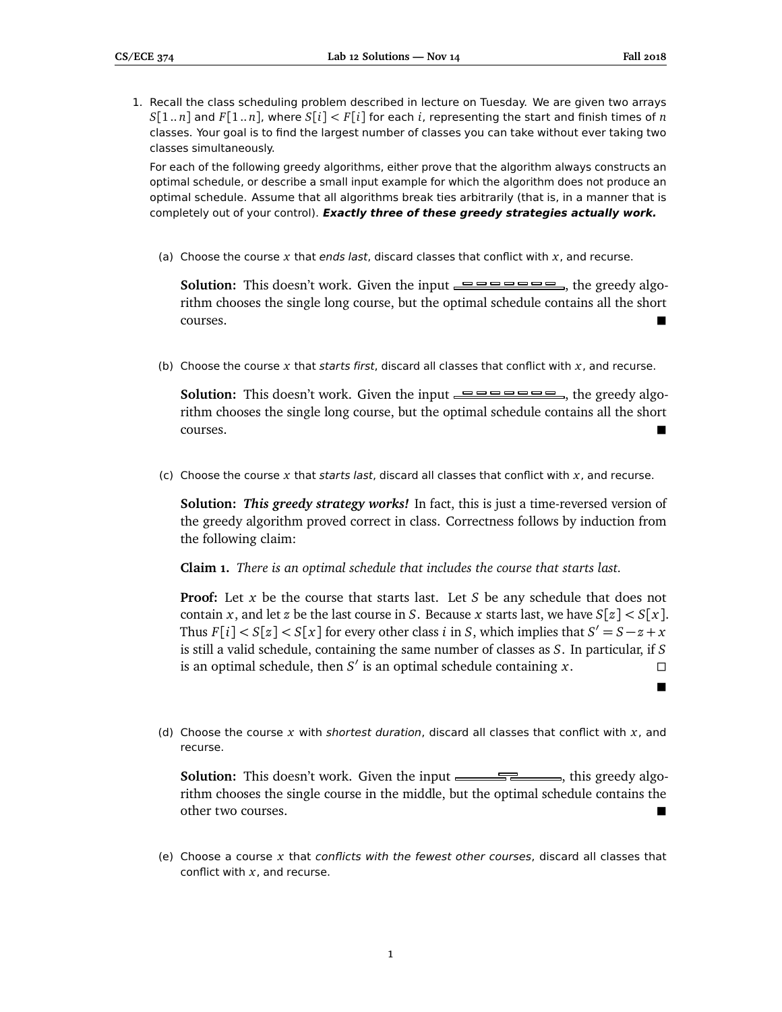$\blacksquare$ 

1. Recall the class scheduling problem described in lecture on Tuesday. We are given two arrays  $S[1..n]$  and  $F[1..n]$ , where  $S[i] < F[i]$  for each *i*, representing the start and finish times of *n* classes. Your goal is to find the largest number of classes you can take without ever taking two classes simultaneously.

For each of the following greedy algorithms, either prove that the algorithm always constructs an optimal schedule, or describe a small input example for which the algorithm does not produce an optimal schedule. Assume that all algorithms break ties arbitrarily (that is, in a manner that is completely out of your control). **Exactly three of these greedy strategies actually work.**

(a) Choose the course *x* that ends last, discard classes that conflict with *x*, and recurse.

**Solution:** This doesn't work. Given the input  $\equiv \equiv \equiv \equiv \equiv \equiv \equiv \equiv \equiv$ , the greedy algorithm chooses the single long course, but the optimal schedule contains all the short courses.

(b) Choose the course *x* that starts first, discard all classes that conflict with *x*, and recurse.

**Solution:** This doesn't work. Given the input  $\equiv \equiv \equiv \equiv \equiv \equiv \equiv \equiv$ , the greedy algorithm chooses the single long course, but the optimal schedule contains all the short courses.

(c) Choose the course *x* that starts last, discard all classes that conflict with *x*, and recurse.

**Solution:** *This greedy strategy works!* In fact, this is just a time-reversed version of the greedy algorithm proved correct in class. Correctness follows by induction from the following claim:

**Claim 1.** *There is an optimal schedule that includes the course that starts last.*

**Proof:** Let *x* be the course that starts last. Let *S* be any schedule that does not contain *x*, and let *z* be the last course in *S*. Because *x* starts last, we have  $S[z] < S[x]$ . Thus  $F[i] < S[x] < S[x]$  for every other class *i* in *S*, which implies that  $S' = S - z + x$ is still a valid schedule, containing the same number of classes as *S*. In particular, if *S* is an optimal schedule, then *S'* is an optimal schedule containing *x*.

(d) Choose the course *x* with shortest duration, discard all classes that conflict with *x*, and recurse.

**Solution:** This doesn't work. Given the input  $\frac{1}{\sqrt{1-\frac{1}{\sqrt{1-\frac{1}{\sqrt{1-\frac{1}{\sqrt{1-\frac{1}{\sqrt{1-\frac{1}{\sqrt{1-\frac{1}{\sqrt{1-\frac{1}{\sqrt{1-\frac{1}{\sqrt{1-\frac{1}{\sqrt{1-\frac{1}{\sqrt{1-\frac{1}{\sqrt{1-\frac{1}{\sqrt{1-\frac{1}{\sqrt{1-\frac{1}{\sqrt{1-\frac{1}{\sqrt{1-\frac{1}{\sqrt{1-\frac{1}{\sqrt{1-\frac{1}{\sqrt{1-\frac{$ rithm chooses the single course in the middle, but the optimal schedule contains the other two courses.

(e) Choose a course *x* that conflicts with the fewest other courses, discard all classes that conflict with *x*, and recurse.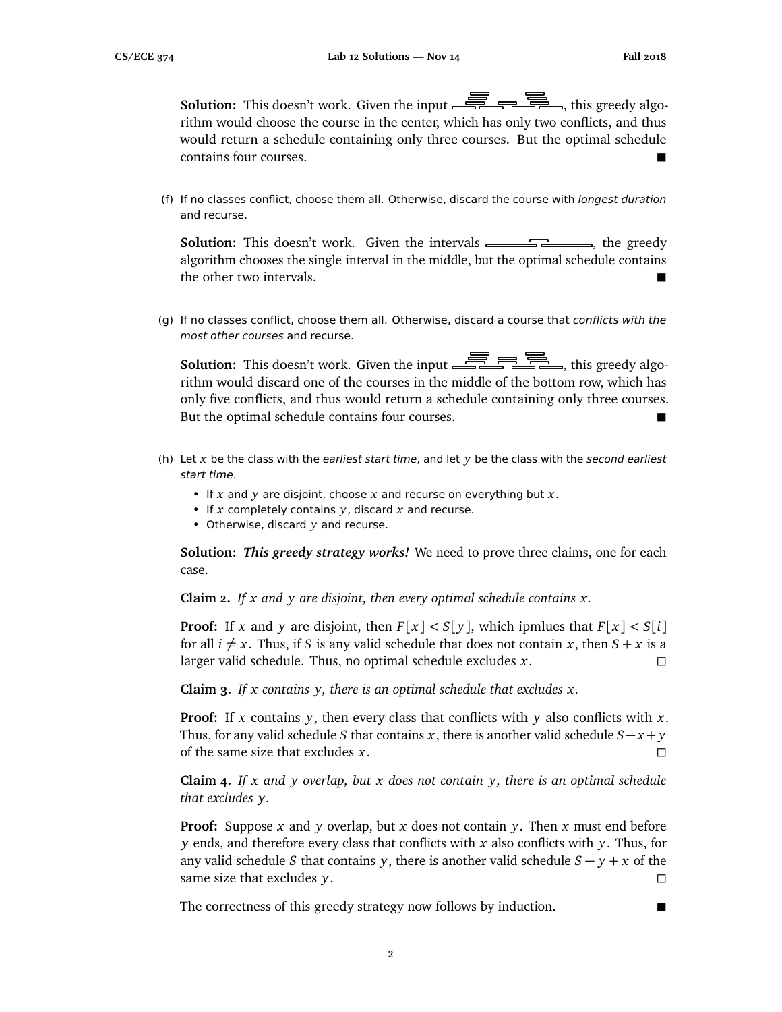**Solution:** This doesn't work. Given the input  $\overline{\mathbb{R}}$  and  $\overline{\mathbb{R}}$ , this greedy algorithm would choose the course in the center, which has only two conflicts, and thus would return a schedule containing only three courses. But the optimal schedule contains four courses.

(f) If no classes conflict, choose them all. Otherwise, discard the course with longest duration and recurse.

**Solution:** This doesn't work. Given the intervals **container the greedy**, the greedy algorithm chooses the single interval in the middle, but the optimal schedule contains the other two intervals.

(g) If no classes conflict, choose them all. Otherwise, discard a course that conflicts with the most other courses and recurse.

**Solution:** This doesn't work. Given the input  $\overline{\mathcal{F}}$   $\overline{\mathcal{F}}$  , this greedy algorithm would discard one of the courses in the middle of the bottom row, which has only five conflicts, and thus would return a schedule containing only three courses. But the optimal schedule contains four courses.

- (h) Let *x* be the class with the earliest start time, and let *y* be the class with the second earliest start time.
	- If *x* and *y* are disjoint, choose *x* and recurse on everything but *x*.
	- If *x* completely contains *y*, discard *x* and recurse.
	- Otherwise, discard *y* and recurse.

**Solution:** *This greedy strategy works!* We need to prove three claims, one for each case.

**Claim 2.** *If x and y are disjoint, then every optimal schedule contains x.*

**Proof:** If *x* and *y* are disjoint, then  $F[x] < S[y]$ , which ipmlues that  $F[x] < S[i]$ for all  $i \neq x$ . Thus, if *S* is any valid schedule that does not contain *x*, then  $S + x$  is a larger valid schedule. Thus, no optimal schedule excludes *x*.

**Claim 3.** *If x contains y, there is an optimal schedule that excludes x.*

**Proof:** If *x* contains *y*, then every class that conflicts with *y* also conflicts with *x*. Thus, for any valid schedule *S* that contains *x*, there is another valid schedule *S*− *x* + *y* of the same size that excludes *x*.

**Claim 4.** *If x and y overlap, but x does not contain y, there is an optimal schedule that excludes y.*

**Proof:** Suppose *x* and *y* overlap, but *x* does not contain *y*. Then *x* must end before *y* ends, and therefore every class that conflicts with *x* also conflicts with *y*. Thus, for any valid schedule *S* that contains *y*, there is another valid schedule  $S - y + x$  of the same size that excludes *y*.

The correctness of this greedy strategy now follows by induction.

2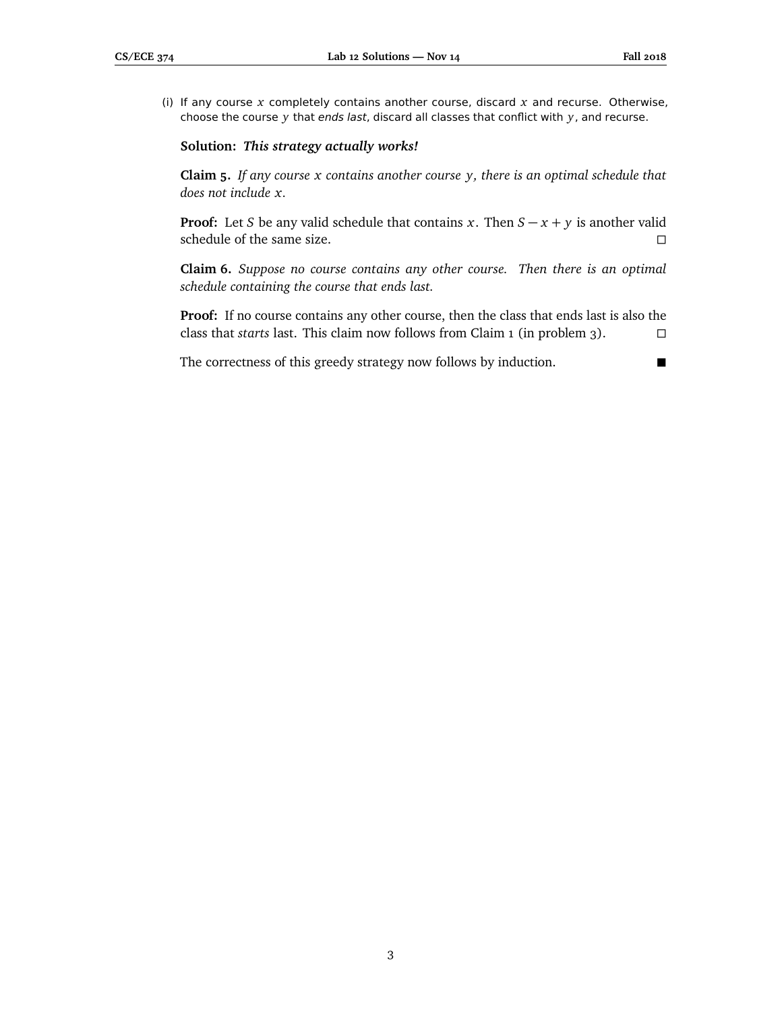(i) If any course *x* completely contains another course, discard *x* and recurse. Otherwise, choose the course *y* that ends last, discard all classes that conflict with *y*, and recurse.

## **Solution:** *This strategy actually works!*

**Claim 5.** *If any course x contains another course y, there is an optimal schedule that does not include x.*

**Proof:** Let *S* be any valid schedule that contains *x*. Then  $S - x + y$  is another valid schedule of the same size.  $\Box$ 

**Claim 6.** *Suppose no course contains any other course. Then there is an optimal schedule containing the course that ends last.*

**Proof:** If no course contains any other course, then the class that ends last is also the class that *starts* last. This claim now follows from Claim 1 (in problem 3).

The correctness of this greedy strategy now follows by induction.

3